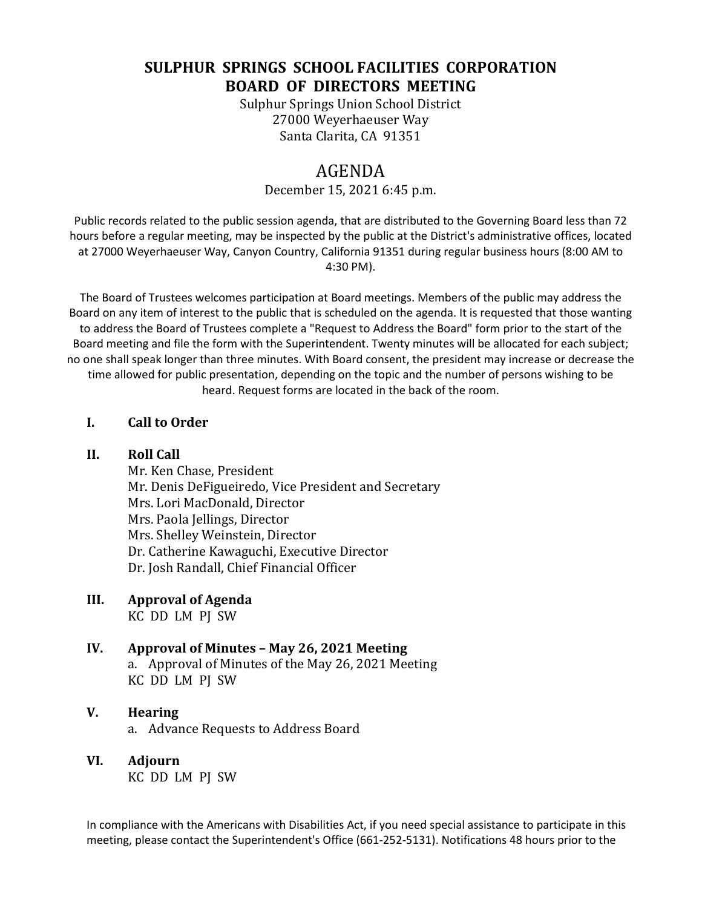# **SULPHUR SPRINGS SCHOOL FACILITIES CORPORATION BOARD OF DIRECTORS MEETING**

Sulphur Springs Union School District 27000 Weyerhaeuser Way Santa Clarita, CA 91351

# AGENDA

#### December 15, 2021 6:45 p.m.

Public records related to the public session agenda, that are distributed to the Governing Board less than 72 hours before a regular meeting, may be inspected by the public at the District's administrative offices, located at 27000 Weyerhaeuser Way, Canyon Country, California 91351 during regular business hours (8:00 AM to 4:30 PM).

The Board of Trustees welcomes participation at Board meetings. Members of the public may address the Board on any item of interest to the public that is scheduled on the agenda. It is requested that those wanting to address the Board of Trustees complete a "Request to Address the Board" form prior to the start of the Board meeting and file the form with the Superintendent. Twenty minutes will be allocated for each subject; no one shall speak longer than three minutes. With Board consent, the president may increase or decrease the time allowed for public presentation, depending on the topic and the number of persons wishing to be heard. Request forms are located in the back of the room.

#### **I. Call to Order**

#### **II. Roll Call**

Mr. Ken Chase, President Mr. Denis DeFigueiredo, Vice President and Secretary Mrs. Lori MacDonald, Director Mrs. Paola Jellings, Director Mrs. Shelley Weinstein, Director Dr. Catherine Kawaguchi, Executive Director Dr. Josh Randall, Chief Financial Officer

## **III. Approval of Agenda**

KC DD LM PJ SW

#### **IV. Approval of Minutes – May 26, 2021 Meeting** a. Approval of Minutes of the May 26, 2021 Meeting KC DD LM PJ SW

# **V. Hearing**

a. Advance Requests to Address Board

### **VI. Adjourn**

KC DD LM PJ SW

In compliance with the Americans with Disabilities Act, if you need special assistance to participate in this meeting, please contact the Superintendent's Office (661-252-5131). Notifications 48 hours prior to the